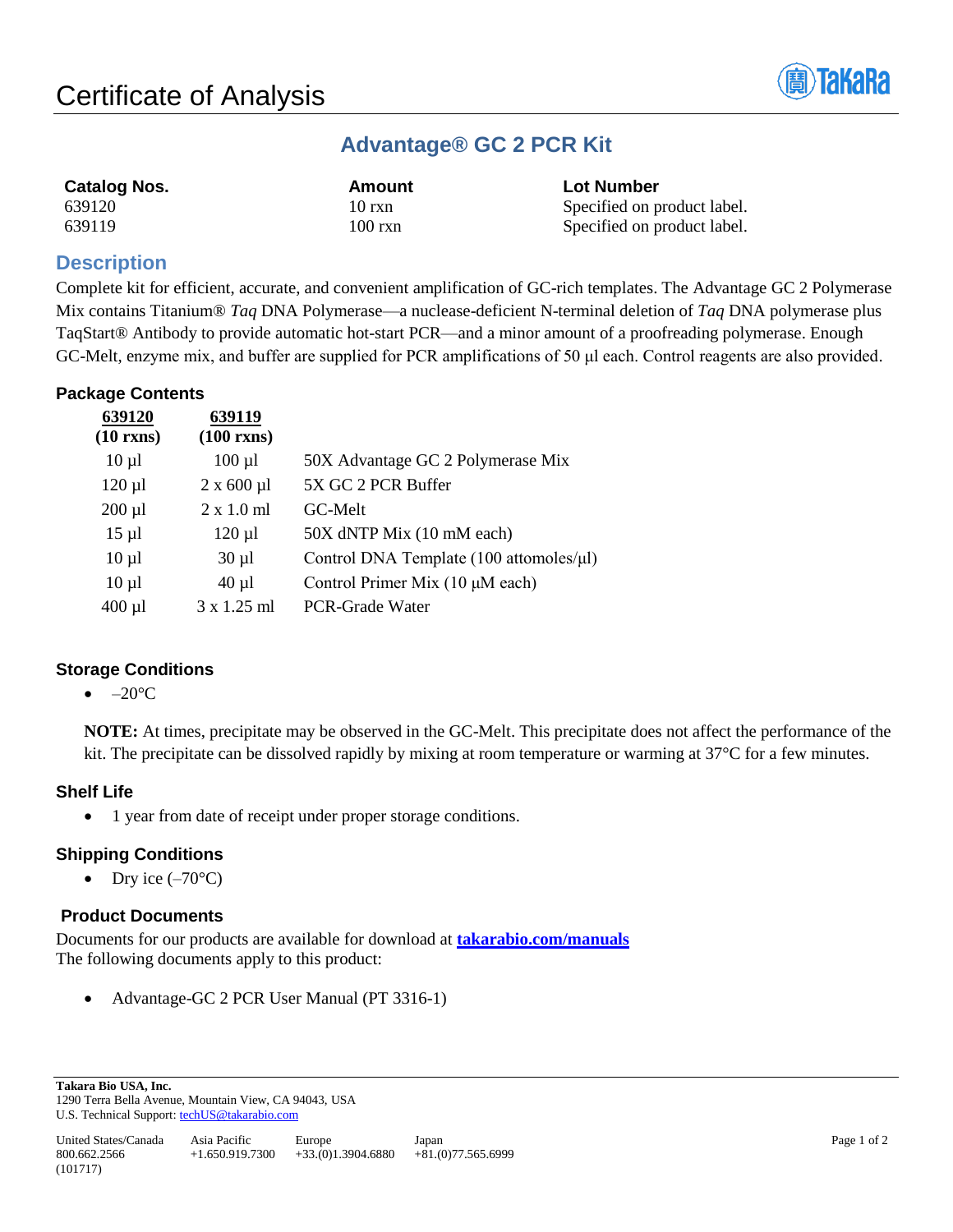

## **Advantage® GC 2 PCR Kit**

| <b>Catalog Nos.</b> | Amount            | <b>Lot Number</b>           |
|---------------------|-------------------|-----------------------------|
| 639120              | $10$ rxn          | Specified on product label. |
| 639119              | $100 \text{ rxn}$ | Specified on product label. |

## **Description**

Complete kit for efficient, accurate, and convenient amplification of GC-rich templates. The Advantage GC 2 Polymerase Mix contains Titanium® *Taq* DNA Polymerase—a nuclease-deficient N-terminal deletion of *Taq* DNA polymerase plus TaqStart® Antibody to provide automatic hot-start PCR—and a minor amount of a proofreading polymerase. Enough GC-Melt, enzyme mix, and buffer are supplied for PCR amplifications of 50 μl each. Control reagents are also provided.

## **Package Contents**

| 639120             | 639119               |                                         |
|--------------------|----------------------|-----------------------------------------|
| $(10 \text{ rxs})$ | $(100 \text{ rms})$  |                                         |
| $10 \mu l$         | $100 \mu l$          | 50X Advantage GC 2 Polymerase Mix       |
| $120 \mu l$        | $2 \times 600 \mu l$ | 5X GC 2 PCR Buffer                      |
| $200 \mu l$        | $2 \times 1.0$ ml    | GC-Melt                                 |
| $15 \mu l$         | $120 \mu l$          | 50X dNTP Mix (10 mM each)               |
| $10 \mu l$         | $30 \mu l$           | Control DNA Template (100 attomoles/µl) |
| $10 \mu l$         | $40 \mu l$           | Control Primer Mix (10 µM each)         |
| $400 \mu l$        | $3 \times 1.25$ ml   | PCR-Grade Water                         |
|                    |                      |                                         |

## **Storage Conditions**

#### $\bullet$  –20 $\rm ^{\circ}C$

**NOTE:** At times, precipitate may be observed in the GC-Melt. This precipitate does not affect the performance of the kit. The precipitate can be dissolved rapidly by mixing at room temperature or warming at 37°C for a few minutes.

## **Shelf Life**

• 1 year from date of receipt under proper storage conditions.

## **Shipping Conditions**

• Dry ice  $(-70^{\circ}C)$ 

## **Product Documents**

Documents for our products are available for download at **[takarabio.com/manuals](http://www.takarabio.com/manuals)** The following documents apply to this product:

• Advantage-GC 2 PCR User Manual (PT 3316-1)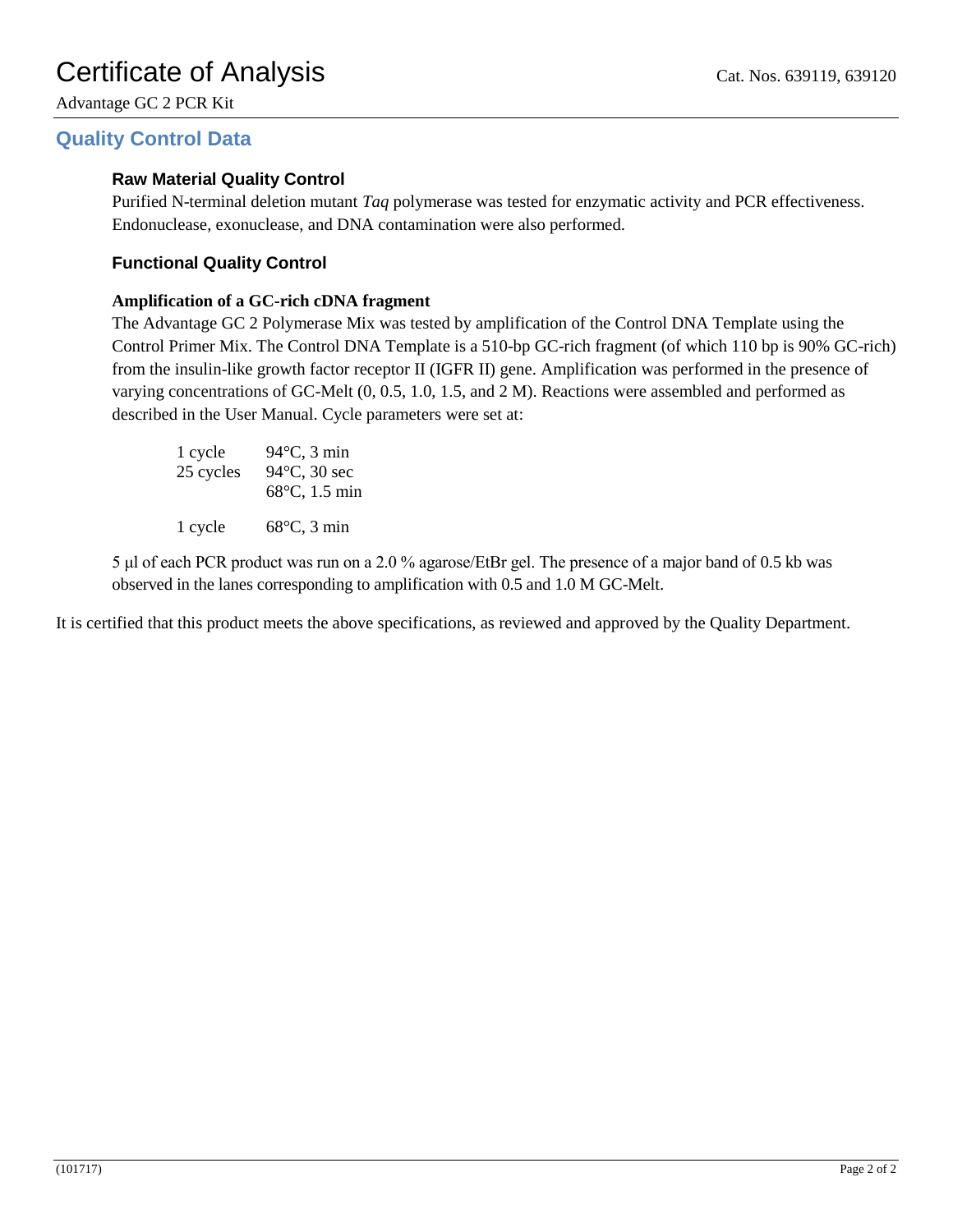Advantage GC 2 PCR Kit

## **Quality Control Data**

#### **Raw Material Quality Control**

Purified N-terminal deletion mutant *Taq* polymerase was tested for enzymatic activity and PCR effectiveness. Endonuclease, exonuclease, and DNA contamination were also performed.

#### **Functional Quality Control**

#### **Amplification of a GC-rich cDNA fragment**

The Advantage GC 2 Polymerase Mix was tested by amplification of the Control DNA Template using the Control Primer Mix. The Control DNA Template is a 510-bp GC-rich fragment (of which 110 bp is 90% GC-rich) from the insulin-like growth factor receptor II (IGFR II) gene. Amplification was performed in the presence of varying concentrations of GC-Melt (0, 0.5, 1.0, 1.5, and 2 M). Reactions were assembled and performed as described in the User Manual. Cycle parameters were set at:

| 1 cycle<br>25 cycles | $94^{\circ}$ C, 3 min<br>94°C, 30 sec<br>68°C, 1.5 min |
|----------------------|--------------------------------------------------------|
| 1 cycle              | $68^{\circ}$ C, 3 min                                  |

5 μl of each PCR product was run on a 2.0 % agarose/EtBr gel. The presence of a major band of 0.5 kb was observed in the lanes corresponding to amplification with 0.5 and 1.0 M GC-Melt.

It is certified that this product meets the above specifications, as reviewed and approved by the Quality Department.